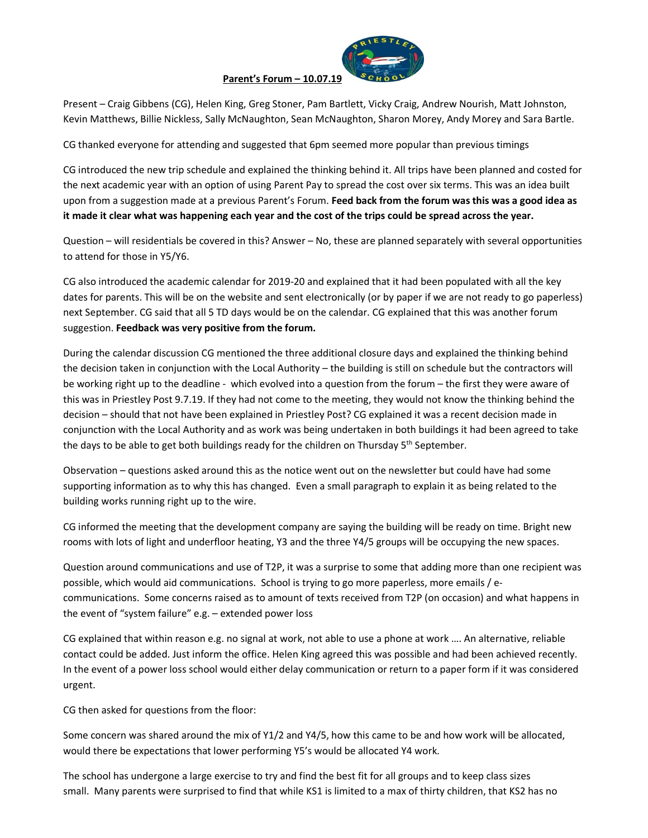

## **Parent's Forum – 10.07.19**

Present – Craig Gibbens (CG), Helen King, Greg Stoner, Pam Bartlett, Vicky Craig, Andrew Nourish, Matt Johnston, Kevin Matthews, Billie Nickless, Sally McNaughton, Sean McNaughton, Sharon Morey, Andy Morey and Sara Bartle.

CG thanked everyone for attending and suggested that 6pm seemed more popular than previous timings

CG introduced the new trip schedule and explained the thinking behind it. All trips have been planned and costed for the next academic year with an option of using Parent Pay to spread the cost over six terms. This was an idea built upon from a suggestion made at a previous Parent's Forum. **Feed back from the forum was this was a good idea as it made it clear what was happening each year and the cost of the trips could be spread across the year.** 

Question – will residentials be covered in this? Answer – No, these are planned separately with several opportunities to attend for those in Y5/Y6.

CG also introduced the academic calendar for 2019-20 and explained that it had been populated with all the key dates for parents. This will be on the website and sent electronically (or by paper if we are not ready to go paperless) next September. CG said that all 5 TD days would be on the calendar. CG explained that this was another forum suggestion. **Feedback was very positive from the forum.** 

During the calendar discussion CG mentioned the three additional closure days and explained the thinking behind the decision taken in conjunction with the Local Authority – the building is still on schedule but the contractors will be working right up to the deadline - which evolved into a question from the forum – the first they were aware of this was in Priestley Post 9.7.19. If they had not come to the meeting, they would not know the thinking behind the decision – should that not have been explained in Priestley Post? CG explained it was a recent decision made in conjunction with the Local Authority and as work was being undertaken in both buildings it had been agreed to take the days to be able to get both buildings ready for the children on Thursday 5<sup>th</sup> September.

Observation – questions asked around this as the notice went out on the newsletter but could have had some supporting information as to why this has changed. Even a small paragraph to explain it as being related to the building works running right up to the wire.

CG informed the meeting that the development company are saying the building will be ready on time. Bright new rooms with lots of light and underfloor heating, Y3 and the three Y4/5 groups will be occupying the new spaces.

Question around communications and use of T2P, it was a surprise to some that adding more than one recipient was possible, which would aid communications. School is trying to go more paperless, more emails / ecommunications. Some concerns raised as to amount of texts received from T2P (on occasion) and what happens in the event of "system failure" e.g. – extended power loss

CG explained that within reason e.g. no signal at work, not able to use a phone at work …. An alternative, reliable contact could be added. Just inform the office. Helen King agreed this was possible and had been achieved recently. In the event of a power loss school would either delay communication or return to a paper form if it was considered urgent.

CG then asked for questions from the floor:

Some concern was shared around the mix of Y1/2 and Y4/5, how this came to be and how work will be allocated, would there be expectations that lower performing Y5's would be allocated Y4 work.

The school has undergone a large exercise to try and find the best fit for all groups and to keep class sizes small. Many parents were surprised to find that while KS1 is limited to a max of thirty children, that KS2 has no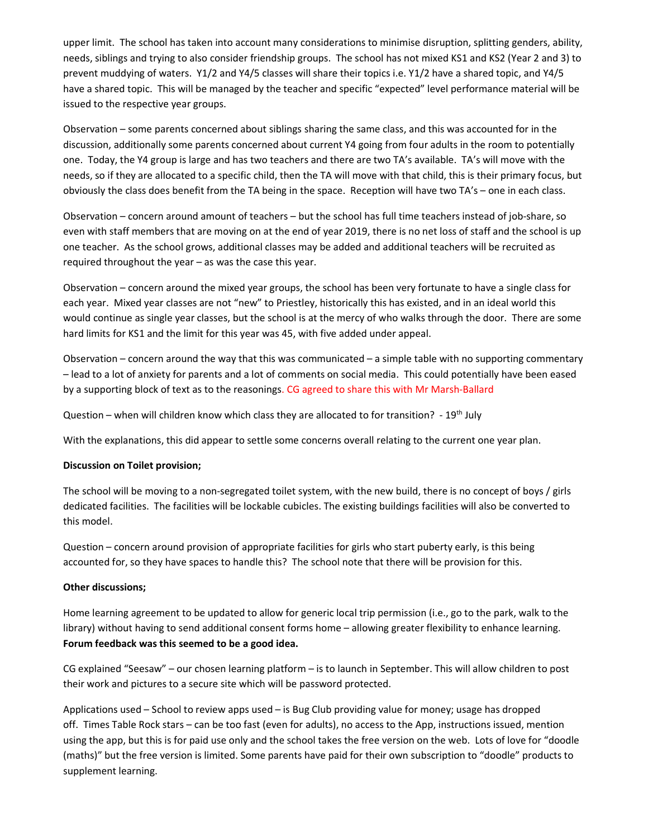upper limit. The school has taken into account many considerations to minimise disruption, splitting genders, ability, needs, siblings and trying to also consider friendship groups. The school has not mixed KS1 and KS2 (Year 2 and 3) to prevent muddying of waters. Y1/2 and Y4/5 classes will share their topics i.e. Y1/2 have a shared topic, and Y4/5 have a shared topic. This will be managed by the teacher and specific "expected" level performance material will be issued to the respective year groups.

Observation – some parents concerned about siblings sharing the same class, and this was accounted for in the discussion, additionally some parents concerned about current Y4 going from four adults in the room to potentially one. Today, the Y4 group is large and has two teachers and there are two TA's available. TA's will move with the needs, so if they are allocated to a specific child, then the TA will move with that child, this is their primary focus, but obviously the class does benefit from the TA being in the space. Reception will have two TA's – one in each class.

Observation – concern around amount of teachers – but the school has full time teachers instead of job-share, so even with staff members that are moving on at the end of year 2019, there is no net loss of staff and the school is up one teacher. As the school grows, additional classes may be added and additional teachers will be recruited as required throughout the year – as was the case this year.

Observation – concern around the mixed year groups, the school has been very fortunate to have a single class for each year. Mixed year classes are not "new" to Priestley, historically this has existed, and in an ideal world this would continue as single year classes, but the school is at the mercy of who walks through the door. There are some hard limits for KS1 and the limit for this year was 45, with five added under appeal.

Observation – concern around the way that this was communicated – a simple table with no supporting commentary – lead to a lot of anxiety for parents and a lot of comments on social media. This could potentially have been eased by a supporting block of text as to the reasonings. CG agreed to share this with Mr Marsh-Ballard

Question – when will children know which class they are allocated to for transition? - 19<sup>th</sup> July

With the explanations, this did appear to settle some concerns overall relating to the current one year plan.

## **Discussion on Toilet provision;**

The school will be moving to a non-segregated toilet system, with the new build, there is no concept of boys / girls dedicated facilities. The facilities will be lockable cubicles. The existing buildings facilities will also be converted to this model.

Question – concern around provision of appropriate facilities for girls who start puberty early, is this being accounted for, so they have spaces to handle this? The school note that there will be provision for this.

## **Other discussions;**

Home learning agreement to be updated to allow for generic local trip permission (i.e., go to the park, walk to the library) without having to send additional consent forms home – allowing greater flexibility to enhance learning. **Forum feedback was this seemed to be a good idea.** 

CG explained "Seesaw" – our chosen learning platform – is to launch in September. This will allow children to post their work and pictures to a secure site which will be password protected.

Applications used – School to review apps used – is Bug Club providing value for money; usage has dropped off. Times Table Rock stars – can be too fast (even for adults), no access to the App, instructions issued, mention using the app, but this is for paid use only and the school takes the free version on the web. Lots of love for "doodle (maths)" but the free version is limited. Some parents have paid for their own subscription to "doodle" products to supplement learning.